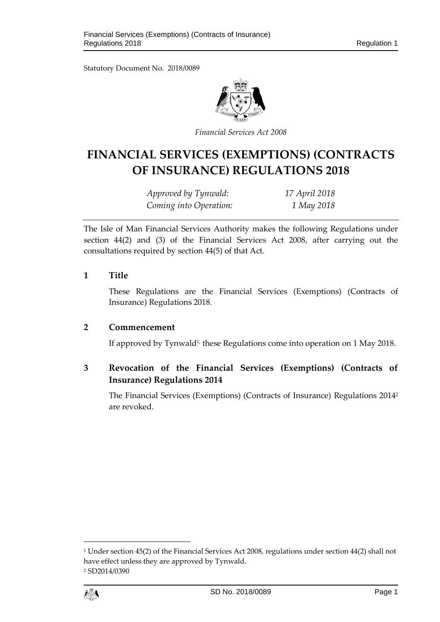Statutory Document No. 2018/0089



*Financial Services Act 2008*

# **FINANCIAL SERVICES (EXEMPTIONS) (CONTRACTS OF INSURANCE) REGULATIONS 2018**

*Approved by Tynwald: 17 April 2018 Coming into Operation: 1 May 2018*

The Isle of Man Financial Services Authority makes the following Regulations under section 44(2) and (3) of the Financial Services Act 2008, after carrying out the consultations required by section 44(5) of that Act.

#### **1 Title**

These Regulations are the Financial Services (Exemptions) (Contracts of Insurance) Regulations 2018.

### **2 Commencement**

If approved by Tynwald<sup>1,</sup> these Regulations come into operation on 1 May 2018.

# **3 Revocation of the Financial Services (Exemptions) (Contracts of Insurance) Regulations 2014**

The Financial Services (Exemptions) (Contracts of Insurance) Regulations 2014<sup>2</sup> are revoked.

<sup>1</sup> Under section 45(2) of the Financial Services Act 2008, regulations under section 44(2) shall not have effect unless they are approved by Tynwald. <sup>2</sup> SD2014/0390



1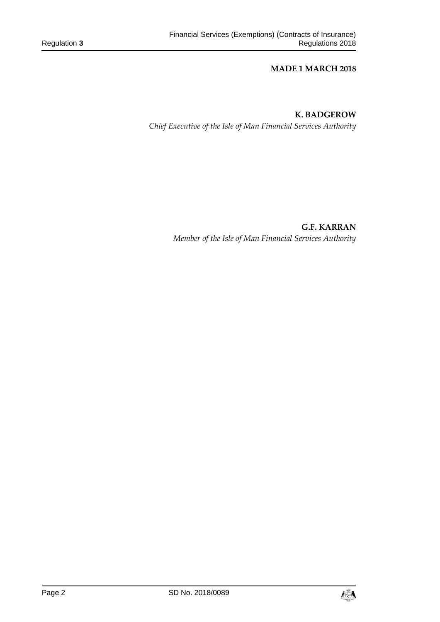#### **MADE 1 MARCH 2018**

# **K. BADGEROW**

*Chief Executive of the Isle of Man Financial Services Authority*

**G.F. KARRAN** *Member of the Isle of Man Financial Services Authority*